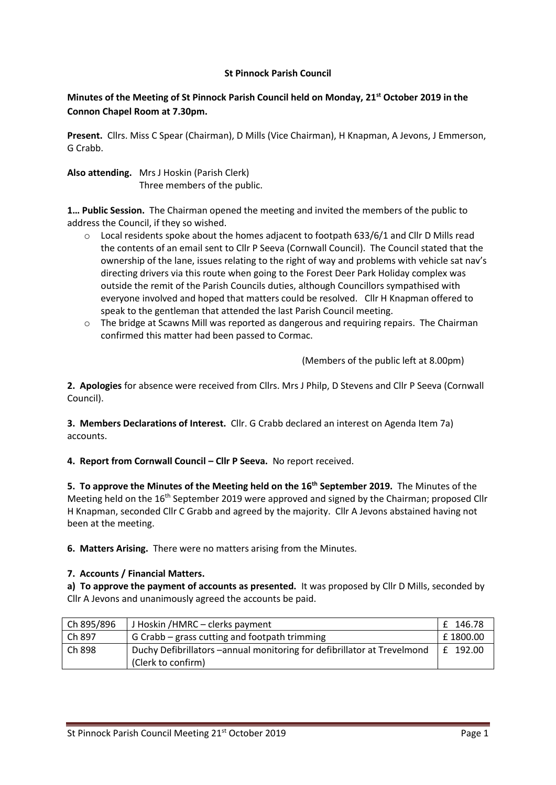### **St Pinnock Parish Council**

# **Minutes of the Meeting of St Pinnock Parish Council held on Monday, 21st October 2019 in the Connon Chapel Room at 7.30pm.**

**Present.** Cllrs. Miss C Spear (Chairman), D Mills (Vice Chairman), H Knapman, A Jevons, J Emmerson, G Crabb.

**Also attending.** Mrs J Hoskin (Parish Clerk) Three members of the public.

**1… Public Session.** The Chairman opened the meeting and invited the members of the public to address the Council, if they so wished.

- o Local residents spoke about the homes adjacent to footpath 633/6/1 and Cllr D Mills read the contents of an email sent to Cllr P Seeva (Cornwall Council). The Council stated that the ownership of the lane, issues relating to the right of way and problems with vehicle sat nav's directing drivers via this route when going to the Forest Deer Park Holiday complex was outside the remit of the Parish Councils duties, although Councillors sympathised with everyone involved and hoped that matters could be resolved. Cllr H Knapman offered to speak to the gentleman that attended the last Parish Council meeting.
- $\circ$  The bridge at Scawns Mill was reported as dangerous and requiring repairs. The Chairman confirmed this matter had been passed to Cormac.

(Members of the public left at 8.00pm)

**2. Apologies** for absence were received from Cllrs. Mrs J Philp, D Stevens and Cllr P Seeva (Cornwall Council).

**3. Members Declarations of Interest.** Cllr. G Crabb declared an interest on Agenda Item 7a) accounts.

**4. Report from Cornwall Council – Cllr P Seeva.** No report received.

**5. To approve the Minutes of the Meeting held on the 16th September 2019.** The Minutes of the Meeting held on the 16<sup>th</sup> September 2019 were approved and signed by the Chairman; proposed Cllr H Knapman, seconded Cllr C Grabb and agreed by the majority. Cllr A Jevons abstained having not been at the meeting.

**6. Matters Arising.** There were no matters arising from the Minutes.

# **7. Accounts / Financial Matters.**

**a) To approve the payment of accounts as presented.** It was proposed by Cllr D Mills, seconded by Cllr A Jevons and unanimously agreed the accounts be paid.

| $ $ Ch 895/896 | J Hoskin /HMRC – clerks payment                                                                | £ 146.78   |
|----------------|------------------------------------------------------------------------------------------------|------------|
| Ch897          | G Crabb – grass cutting and footpath trimming                                                  | £1800.00   |
| Ch898          | Duchy Defibrillators - annual monitoring for defibrillator at Trevelmond<br>(Clerk to confirm) | l £ 192.00 |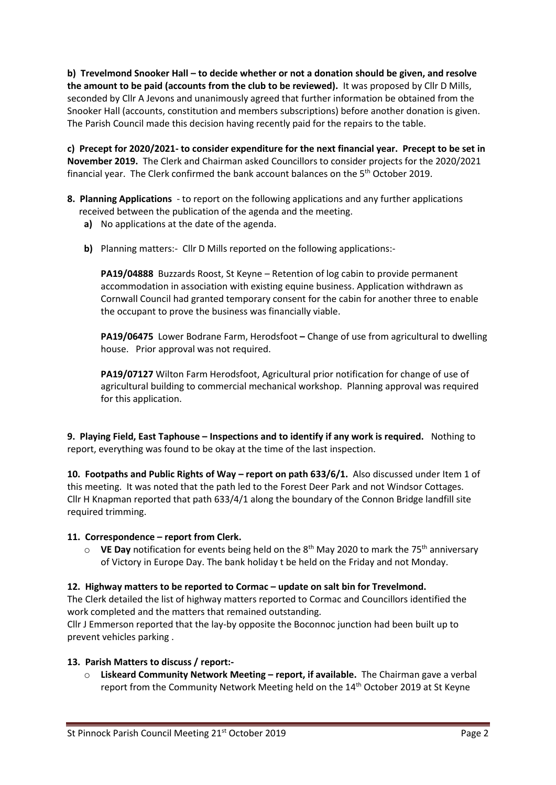**b) Trevelmond Snooker Hall – to decide whether or not a donation should be given, and resolve the amount to be paid (accounts from the club to be reviewed).** It was proposed by Cllr D Mills, seconded by Cllr A Jevons and unanimously agreed that further information be obtained from the Snooker Hall (accounts, constitution and members subscriptions) before another donation is given. The Parish Council made this decision having recently paid for the repairs to the table.

**c) Precept for 2020/2021- to consider expenditure for the next financial year. Precept to be set in November 2019.** The Clerk and Chairman asked Councillors to consider projects for the 2020/2021 financial year. The Clerk confirmed the bank account balances on the 5th October 2019.

- **8. Planning Applications**  to report on the following applications and any further applications received between the publication of the agenda and the meeting.
	- **a)** No applications at the date of the agenda.
	- **b)** Planning matters:- Cllr D Mills reported on the following applications:-

**PA19/04888** Buzzards Roost, St Keyne – Retention of log cabin to provide permanent accommodation in association with existing equine business. Application withdrawn as Cornwall Council had granted temporary consent for the cabin for another three to enable the occupant to prove the business was financially viable.

**PA19/06475** Lower Bodrane Farm, Herodsfoot **–** Change of use from agricultural to dwelling house. Prior approval was not required.

**PA19/07127** Wilton Farm Herodsfoot, Agricultural prior notification for change of use of agricultural building to commercial mechanical workshop. Planning approval was required for this application.

**9. Playing Field, East Taphouse – Inspections and to identify if any work is required.** Nothing to report, everything was found to be okay at the time of the last inspection.

**10. Footpaths and Public Rights of Way – report on path 633/6/1.** Also discussed under Item 1 of this meeting. It was noted that the path led to the Forest Deer Park and not Windsor Cottages. Cllr H Knapman reported that path 633/4/1 along the boundary of the Connon Bridge landfill site required trimming.

#### **11. Correspondence – report from Clerk.**

o **VE Day** notification for events being held on the 8th May 2020 to mark the 75th anniversary of Victory in Europe Day. The bank holiday t be held on the Friday and not Monday.

#### **12. Highway matters to be reported to Cormac – update on salt bin for Trevelmond.**

The Clerk detailed the list of highway matters reported to Cormac and Councillors identified the work completed and the matters that remained outstanding.

Cllr J Emmerson reported that the lay-by opposite the Boconnoc junction had been built up to prevent vehicles parking .

# **13. Parish Matters to discuss / report:-**

o **Liskeard Community Network Meeting – report, if available.** The Chairman gave a verbal report from the Community Network Meeting held on the 14th October 2019 at St Keyne